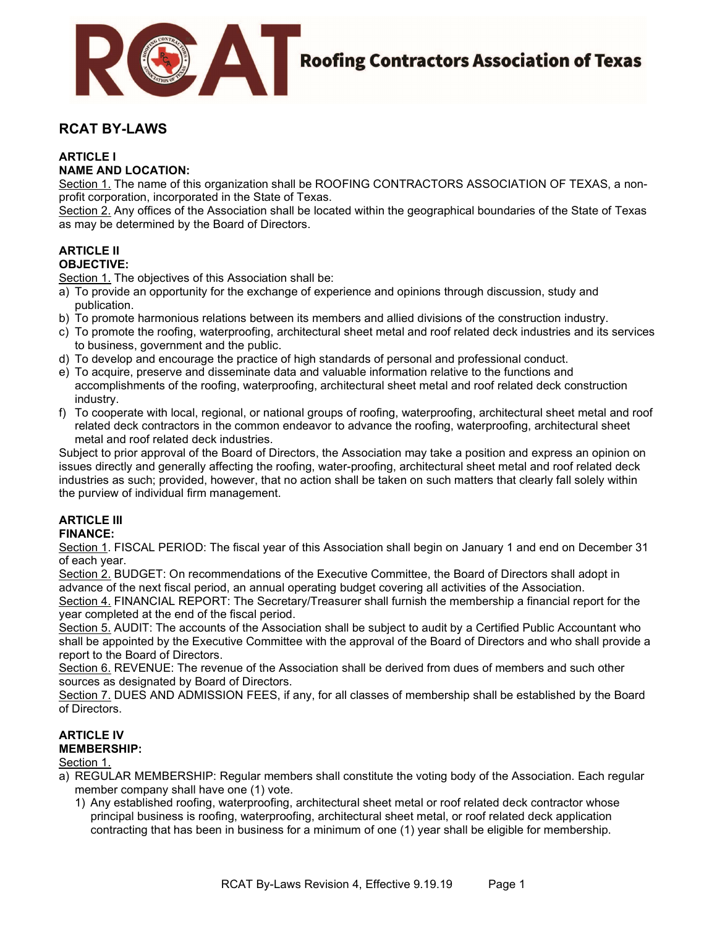

# RCAT BY-LAWS

## ARTICLE I

### NAME AND LOCATION:

Section 1. The name of this organization shall be ROOFING CONTRACTORS ASSOCIATION OF TEXAS, a nonprofit corporation, incorporated in the State of Texas.

Section 2. Any offices of the Association shall be located within the geographical boundaries of the State of Texas as may be determined by the Board of Directors.

# ARTICLE II

# OBJECTIVE:

Section 1. The objectives of this Association shall be:

- a) To provide an opportunity for the exchange of experience and opinions through discussion, study and publication.
- b) To promote harmonious relations between its members and allied divisions of the construction industry.
- c) To promote the roofing, waterproofing, architectural sheet metal and roof related deck industries and its services to business, government and the public.
- d) To develop and encourage the practice of high standards of personal and professional conduct.
- e) To acquire, preserve and disseminate data and valuable information relative to the functions and accomplishments of the roofing, waterproofing, architectural sheet metal and roof related deck construction industry.
- f) To cooperate with local, regional, or national groups of roofing, waterproofing, architectural sheet metal and roof related deck contractors in the common endeavor to advance the roofing, waterproofing, architectural sheet metal and roof related deck industries.

Subject to prior approval of the Board of Directors, the Association may take a position and express an opinion on issues directly and generally affecting the roofing, water-proofing, architectural sheet metal and roof related deck industries as such; provided, however, that no action shall be taken on such matters that clearly fall solely within the purview of individual firm management.

#### **ARTICLE III** FINANCE:

Section 1. FISCAL PERIOD: The fiscal year of this Association shall begin on January 1 and end on December 31 of each year.

Section 2. BUDGET: On recommendations of the Executive Committee, the Board of Directors shall adopt in advance of the next fiscal period, an annual operating budget covering all activities of the Association.

Section 4. FINANCIAL REPORT: The Secretary/Treasurer shall furnish the membership a financial report for the year completed at the end of the fiscal period.

Section 5. AUDIT: The accounts of the Association shall be subject to audit by a Certified Public Accountant who shall be appointed by the Executive Committee with the approval of the Board of Directors and who shall provide a report to the Board of Directors.

Section 6. REVENUE: The revenue of the Association shall be derived from dues of members and such other sources as designated by Board of Directors.

Section 7. DUES AND ADMISSION FEES, if any, for all classes of membership shall be established by the Board of Directors.

# ARTICLE IV

# MEMBERSHIP:

Section 1.

- a) REGULAR MEMBERSHIP: Regular members shall constitute the voting body of the Association. Each regular member company shall have one (1) vote.
	- 1) Any established roofing, waterproofing, architectural sheet metal or roof related deck contractor whose principal business is roofing, waterproofing, architectural sheet metal, or roof related deck application contracting that has been in business for a minimum of one (1) year shall be eligible for membership.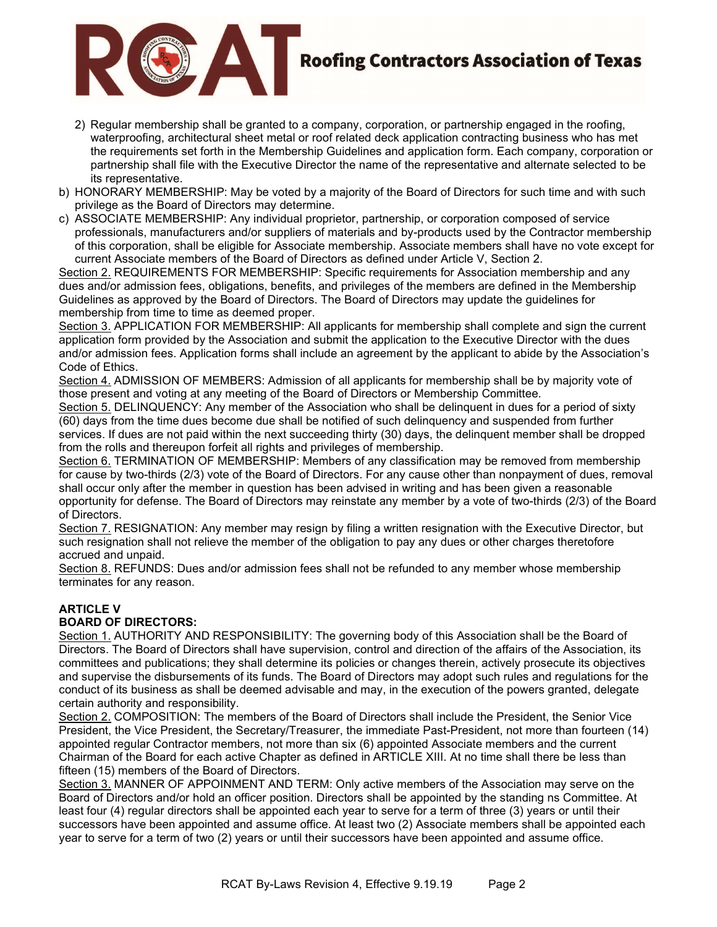

# **Roofing Contractors Association of Texas**

- 2) Regular membership shall be granted to a company, corporation, or partnership engaged in the roofing, waterproofing, architectural sheet metal or roof related deck application contracting business who has met the requirements set forth in the Membership Guidelines and application form. Each company, corporation or partnership shall file with the Executive Director the name of the representative and alternate selected to be its representative.
- b) HONORARY MEMBERSHIP: May be voted by a majority of the Board of Directors for such time and with such privilege as the Board of Directors may determine.
- c) ASSOCIATE MEMBERSHIP: Any individual proprietor, partnership, or corporation composed of service professionals, manufacturers and/or suppliers of materials and by-products used by the Contractor membership of this corporation, shall be eligible for Associate membership. Associate members shall have no vote except for current Associate members of the Board of Directors as defined under Article V, Section 2.

Section 2. REQUIREMENTS FOR MEMBERSHIP: Specific requirements for Association membership and any dues and/or admission fees, obligations, benefits, and privileges of the members are defined in the Membership Guidelines as approved by the Board of Directors. The Board of Directors may update the guidelines for membership from time to time as deemed proper.

Section 3. APPLICATION FOR MEMBERSHIP: All applicants for membership shall complete and sign the current application form provided by the Association and submit the application to the Executive Director with the dues and/or admission fees. Application forms shall include an agreement by the applicant to abide by the Association's Code of Ethics.

Section 4. ADMISSION OF MEMBERS: Admission of all applicants for membership shall be by majority vote of those present and voting at any meeting of the Board of Directors or Membership Committee.

Section 5. DELINQUENCY: Any member of the Association who shall be delinquent in dues for a period of sixty (60) days from the time dues become due shall be notified of such delinquency and suspended from further services. If dues are not paid within the next succeeding thirty (30) days, the delinquent member shall be dropped from the rolls and thereupon forfeit all rights and privileges of membership.

Section 6. TERMINATION OF MEMBERSHIP: Members of any classification may be removed from membership for cause by two-thirds (2/3) vote of the Board of Directors. For any cause other than nonpayment of dues, removal shall occur only after the member in question has been advised in writing and has been given a reasonable opportunity for defense. The Board of Directors may reinstate any member by a vote of two-thirds (2/3) of the Board of Directors.

Section 7. RESIGNATION: Any member may resign by filing a written resignation with the Executive Director, but such resignation shall not relieve the member of the obligation to pay any dues or other charges theretofore accrued and unpaid.

Section 8. REFUNDS: Dues and/or admission fees shall not be refunded to any member whose membership terminates for any reason.

## ARTICLE V

## BOARD OF DIRECTORS:

Section 1. AUTHORITY AND RESPONSIBILITY: The governing body of this Association shall be the Board of Directors. The Board of Directors shall have supervision, control and direction of the affairs of the Association, its committees and publications; they shall determine its policies or changes therein, actively prosecute its objectives and supervise the disbursements of its funds. The Board of Directors may adopt such rules and regulations for the conduct of its business as shall be deemed advisable and may, in the execution of the powers granted, delegate certain authority and responsibility.

Section 2. COMPOSITION: The members of the Board of Directors shall include the President, the Senior Vice President, the Vice President, the Secretary/Treasurer, the immediate Past-President, not more than fourteen (14) appointed regular Contractor members, not more than six (6) appointed Associate members and the current Chairman of the Board for each active Chapter as defined in ARTICLE XIII. At no time shall there be less than fifteen (15) members of the Board of Directors.

Section 3. MANNER OF APPOINMENT AND TERM: Only active members of the Association may serve on the Board of Directors and/or hold an officer position. Directors shall be appointed by the standing ns Committee. At least four (4) regular directors shall be appointed each year to serve for a term of three (3) years or until their successors have been appointed and assume office. At least two (2) Associate members shall be appointed each year to serve for a term of two (2) years or until their successors have been appointed and assume office.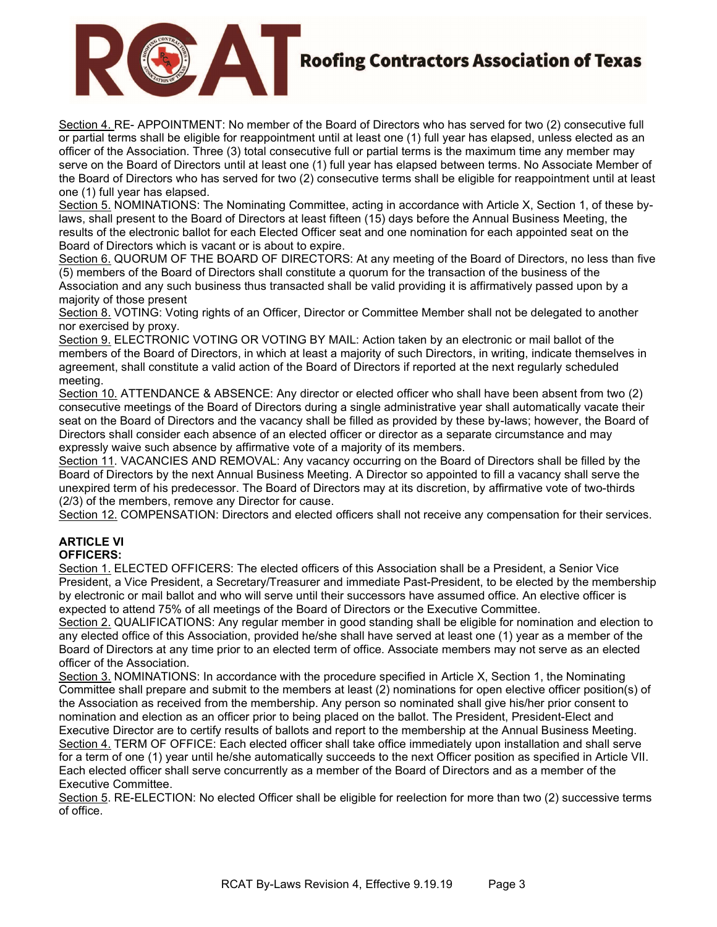

# **Roofing Contractors Association of Texas**

Section 4. RE- APPOINTMENT: No member of the Board of Directors who has served for two (2) consecutive full or partial terms shall be eligible for reappointment until at least one (1) full year has elapsed, unless elected as an officer of the Association. Three (3) total consecutive full or partial terms is the maximum time any member may serve on the Board of Directors until at least one (1) full year has elapsed between terms. No Associate Member of the Board of Directors who has served for two (2) consecutive terms shall be eligible for reappointment until at least one (1) full year has elapsed.

Section 5. NOMINATIONS: The Nominating Committee, acting in accordance with Article X, Section 1, of these bylaws, shall present to the Board of Directors at least fifteen (15) days before the Annual Business Meeting, the results of the electronic ballot for each Elected Officer seat and one nomination for each appointed seat on the Board of Directors which is vacant or is about to expire.

Section 6. QUORUM OF THE BOARD OF DIRECTORS: At any meeting of the Board of Directors, no less than five (5) members of the Board of Directors shall constitute a quorum for the transaction of the business of the Association and any such business thus transacted shall be valid providing it is affirmatively passed upon by a majority of those present

Section 8. VOTING: Voting rights of an Officer, Director or Committee Member shall not be delegated to another nor exercised by proxy.

Section 9. ELECTRONIC VOTING OR VOTING BY MAIL: Action taken by an electronic or mail ballot of the members of the Board of Directors, in which at least a majority of such Directors, in writing, indicate themselves in agreement, shall constitute a valid action of the Board of Directors if reported at the next regularly scheduled meeting.

Section 10. ATTENDANCE & ABSENCE: Any director or elected officer who shall have been absent from two (2) consecutive meetings of the Board of Directors during a single administrative year shall automatically vacate their seat on the Board of Directors and the vacancy shall be filled as provided by these by-laws; however, the Board of Directors shall consider each absence of an elected officer or director as a separate circumstance and may expressly waive such absence by affirmative vote of a majority of its members.

Section 11. VACANCIES AND REMOVAL: Any vacancy occurring on the Board of Directors shall be filled by the Board of Directors by the next Annual Business Meeting. A Director so appointed to fill a vacancy shall serve the unexpired term of his predecessor. The Board of Directors may at its discretion, by affirmative vote of two-thirds (2/3) of the members, remove any Director for cause.

Section 12. COMPENSATION: Directors and elected officers shall not receive any compensation for their services.

### ARTICLE VI OFFICERS:

Section 1. ELECTED OFFICERS: The elected officers of this Association shall be a President, a Senior Vice President, a Vice President, a Secretary/Treasurer and immediate Past-President, to be elected by the membership by electronic or mail ballot and who will serve until their successors have assumed office. An elective officer is expected to attend 75% of all meetings of the Board of Directors or the Executive Committee.

Section 2. QUALIFICATIONS: Any regular member in good standing shall be eligible for nomination and election to any elected office of this Association, provided he/she shall have served at least one (1) year as a member of the Board of Directors at any time prior to an elected term of office. Associate members may not serve as an elected officer of the Association.

Section 3. NOMINATIONS: In accordance with the procedure specified in Article X, Section 1, the Nominating Committee shall prepare and submit to the members at least (2) nominations for open elective officer position(s) of the Association as received from the membership. Any person so nominated shall give his/her prior consent to nomination and election as an officer prior to being placed on the ballot. The President, President-Elect and Executive Director are to certify results of ballots and report to the membership at the Annual Business Meeting. Section 4. TERM OF OFFICE: Each elected officer shall take office immediately upon installation and shall serve for a term of one (1) year until he/she automatically succeeds to the next Officer position as specified in Article VII. Each elected officer shall serve concurrently as a member of the Board of Directors and as a member of the Executive Committee.

Section 5. RE-ELECTION: No elected Officer shall be eligible for reelection for more than two (2) successive terms of office.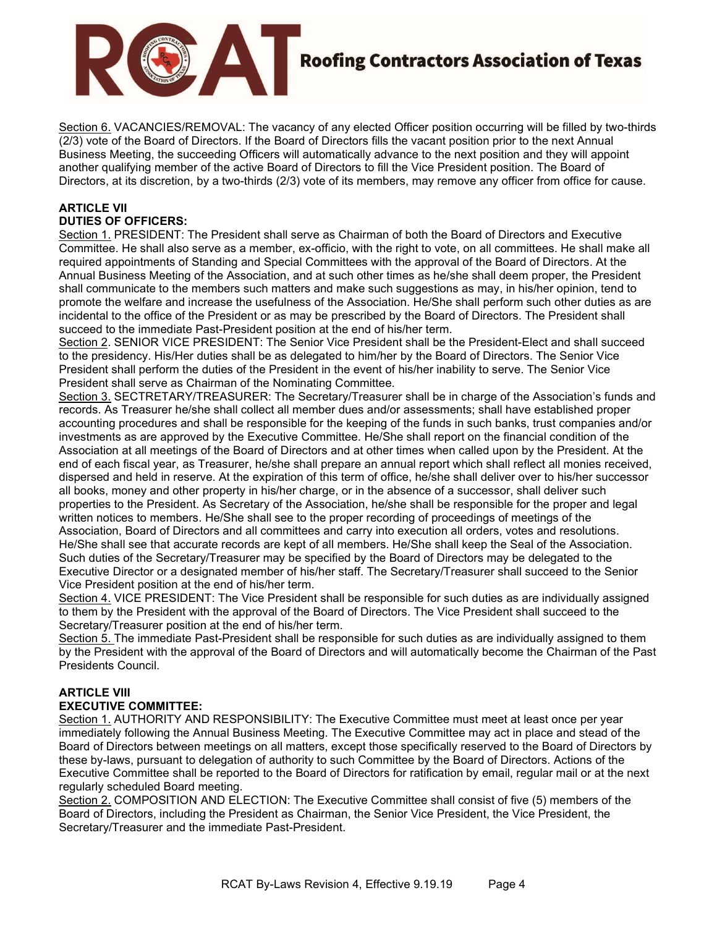

# **Roofing Contractors Association of Texas**

Section 6. VACANCIES/REMOVAL: The vacancy of any elected Officer position occurring will be filled by two-thirds (2/3) vote of the Board of Directors. If the Board of Directors fills the vacant position prior to the next Annual Business Meeting, the succeeding Officers will automatically advance to the next position and they will appoint another qualifying member of the active Board of Directors to fill the Vice President position. The Board of Directors, at its discretion, by a two-thirds (2/3) vote of its members, may remove any officer from office for cause.

## ARTICLE VII DUTIES OF OFFICERS:

Section 1. PRESIDENT: The President shall serve as Chairman of both the Board of Directors and Executive Committee. He shall also serve as a member, ex-officio, with the right to vote, on all committees. He shall make all required appointments of Standing and Special Committees with the approval of the Board of Directors. At the Annual Business Meeting of the Association, and at such other times as he/she shall deem proper, the President shall communicate to the members such matters and make such suggestions as may, in his/her opinion, tend to promote the welfare and increase the usefulness of the Association. He/She shall perform such other duties as are incidental to the office of the President or as may be prescribed by the Board of Directors. The President shall succeed to the immediate Past-President position at the end of his/her term.

Section 2. SENIOR VICE PRESIDENT: The Senior Vice President shall be the President-Elect and shall succeed to the presidency. His/Her duties shall be as delegated to him/her by the Board of Directors. The Senior Vice President shall perform the duties of the President in the event of his/her inability to serve. The Senior Vice President shall serve as Chairman of the Nominating Committee.

Section 3. SECTRETARY/TREASURER: The Secretary/Treasurer shall be in charge of the Association's funds and records. As Treasurer he/she shall collect all member dues and/or assessments; shall have established proper accounting procedures and shall be responsible for the keeping of the funds in such banks, trust companies and/or investments as are approved by the Executive Committee. He/She shall report on the financial condition of the Association at all meetings of the Board of Directors and at other times when called upon by the President. At the end of each fiscal year, as Treasurer, he/she shall prepare an annual report which shall reflect all monies received, dispersed and held in reserve. At the expiration of this term of office, he/she shall deliver over to his/her successor all books, money and other property in his/her charge, or in the absence of a successor, shall deliver such properties to the President. As Secretary of the Association, he/she shall be responsible for the proper and legal written notices to members. He/She shall see to the proper recording of proceedings of meetings of the Association, Board of Directors and all committees and carry into execution all orders, votes and resolutions. He/She shall see that accurate records are kept of all members. He/She shall keep the Seal of the Association. Such duties of the Secretary/Treasurer may be specified by the Board of Directors may be delegated to the Executive Director or a designated member of his/her staff. The Secretary/Treasurer shall succeed to the Senior Vice President position at the end of his/her term.

Section 4. VICE PRESIDENT: The Vice President shall be responsible for such duties as are individually assigned to them by the President with the approval of the Board of Directors. The Vice President shall succeed to the Secretary/Treasurer position at the end of his/her term.

Section 5. The immediate Past-President shall be responsible for such duties as are individually assigned to them by the President with the approval of the Board of Directors and will automatically become the Chairman of the Past Presidents Council.

## ARTICLE VIII EXECUTIVE COMMITTEE:

Section 1. AUTHORITY AND RESPONSIBILITY: The Executive Committee must meet at least once per year immediately following the Annual Business Meeting. The Executive Committee may act in place and stead of the Board of Directors between meetings on all matters, except those specifically reserved to the Board of Directors by these by-laws, pursuant to delegation of authority to such Committee by the Board of Directors. Actions of the Executive Committee shall be reported to the Board of Directors for ratification by email, regular mail or at the next regularly scheduled Board meeting.

Section 2. COMPOSITION AND ELECTION: The Executive Committee shall consist of five (5) members of the Board of Directors, including the President as Chairman, the Senior Vice President, the Vice President, the Secretary/Treasurer and the immediate Past-President.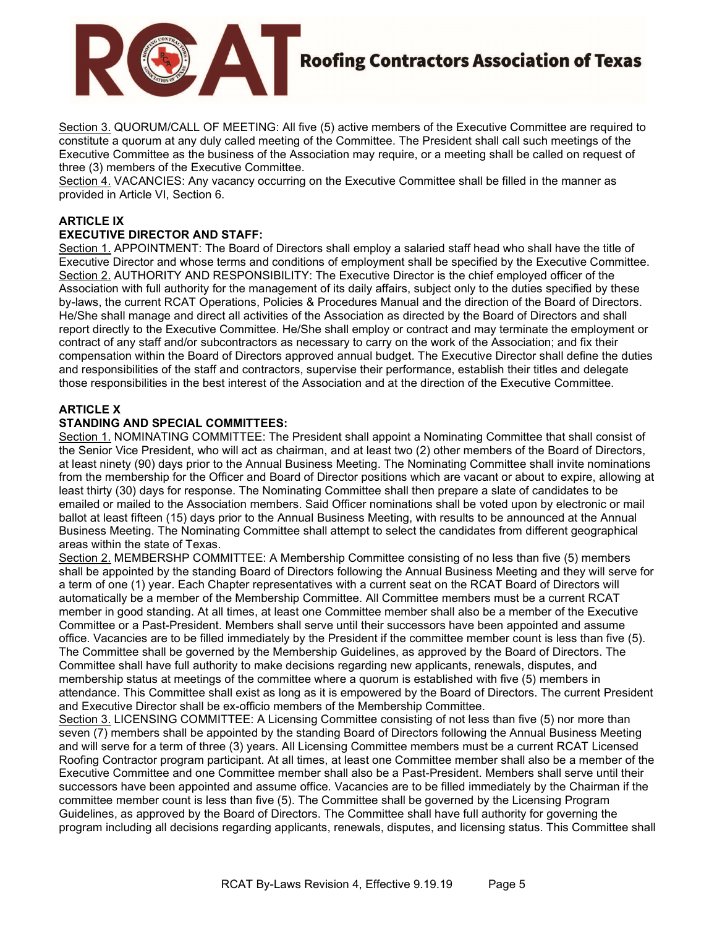

Section 3. QUORUM/CALL OF MEETING: All five (5) active members of the Executive Committee are required to constitute a quorum at any duly called meeting of the Committee. The President shall call such meetings of the Executive Committee as the business of the Association may require, or a meeting shall be called on request of three (3) members of the Executive Committee.

Section 4. VACANCIES: Any vacancy occurring on the Executive Committee shall be filled in the manner as provided in Article VI, Section 6.

# ARTICLE IX

## EXECUTIVE DIRECTOR AND STAFF:

Section 1. APPOINTMENT: The Board of Directors shall employ a salaried staff head who shall have the title of Executive Director and whose terms and conditions of employment shall be specified by the Executive Committee. Section 2. AUTHORITY AND RESPONSIBILITY: The Executive Director is the chief employed officer of the Association with full authority for the management of its daily affairs, subject only to the duties specified by these by-laws, the current RCAT Operations, Policies & Procedures Manual and the direction of the Board of Directors. He/She shall manage and direct all activities of the Association as directed by the Board of Directors and shall report directly to the Executive Committee. He/She shall employ or contract and may terminate the employment or contract of any staff and/or subcontractors as necessary to carry on the work of the Association; and fix their compensation within the Board of Directors approved annual budget. The Executive Director shall define the duties and responsibilities of the staff and contractors, supervise their performance, establish their titles and delegate those responsibilities in the best interest of the Association and at the direction of the Executive Committee.

### ARTICLE X

### STANDING AND SPECIAL COMMITTEES:

Section 1. NOMINATING COMMITTEE: The President shall appoint a Nominating Committee that shall consist of the Senior Vice President, who will act as chairman, and at least two (2) other members of the Board of Directors, at least ninety (90) days prior to the Annual Business Meeting. The Nominating Committee shall invite nominations from the membership for the Officer and Board of Director positions which are vacant or about to expire, allowing at least thirty (30) days for response. The Nominating Committee shall then prepare a slate of candidates to be emailed or mailed to the Association members. Said Officer nominations shall be voted upon by electronic or mail ballot at least fifteen (15) days prior to the Annual Business Meeting, with results to be announced at the Annual Business Meeting. The Nominating Committee shall attempt to select the candidates from different geographical areas within the state of Texas.

Section 2. MEMBERSHP COMMITTEE: A Membership Committee consisting of no less than five (5) members shall be appointed by the standing Board of Directors following the Annual Business Meeting and they will serve for a term of one (1) year. Each Chapter representatives with a current seat on the RCAT Board of Directors will automatically be a member of the Membership Committee. All Committee members must be a current RCAT member in good standing. At all times, at least one Committee member shall also be a member of the Executive Committee or a Past-President. Members shall serve until their successors have been appointed and assume office. Vacancies are to be filled immediately by the President if the committee member count is less than five (5). The Committee shall be governed by the Membership Guidelines, as approved by the Board of Directors. The Committee shall have full authority to make decisions regarding new applicants, renewals, disputes, and membership status at meetings of the committee where a quorum is established with five (5) members in attendance. This Committee shall exist as long as it is empowered by the Board of Directors. The current President and Executive Director shall be ex-officio members of the Membership Committee.

Section 3. LICENSING COMMITTEE: A Licensing Committee consisting of not less than five (5) nor more than seven (7) members shall be appointed by the standing Board of Directors following the Annual Business Meeting and will serve for a term of three (3) years. All Licensing Committee members must be a current RCAT Licensed Roofing Contractor program participant. At all times, at least one Committee member shall also be a member of the Executive Committee and one Committee member shall also be a Past-President. Members shall serve until their successors have been appointed and assume office. Vacancies are to be filled immediately by the Chairman if the committee member count is less than five (5). The Committee shall be governed by the Licensing Program Guidelines, as approved by the Board of Directors. The Committee shall have full authority for governing the program including all decisions regarding applicants, renewals, disputes, and licensing status. This Committee shall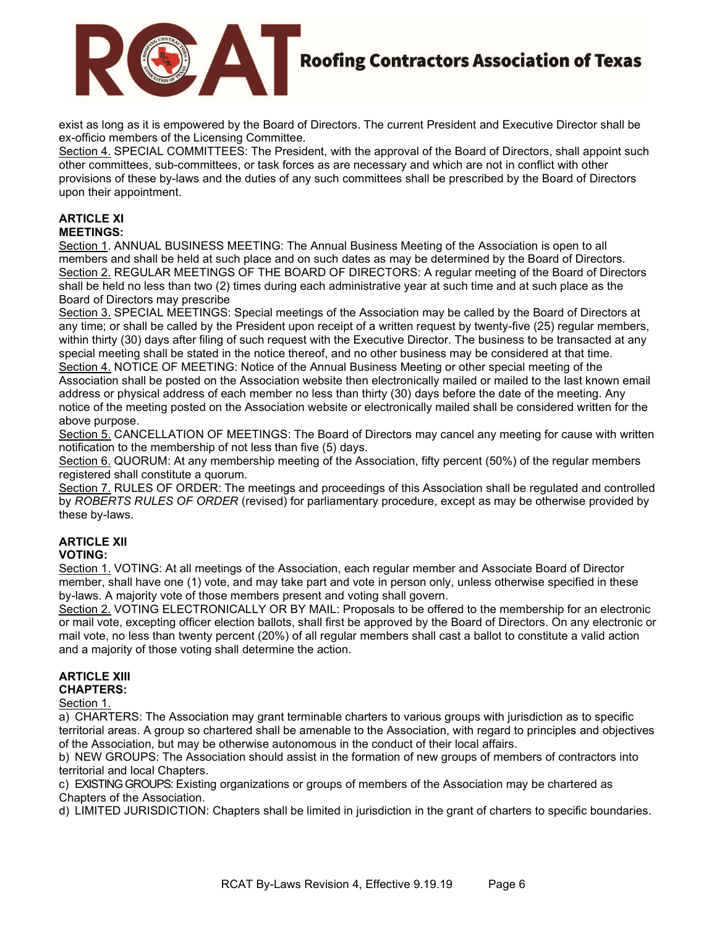

exist as long as it is empowered by the Board of Directors. The current President and Executive Director shall be ex-officio members of the Licensing Committee.

Section 4. SPECIAL COMMITTEES: The President, with the approval of the Board of Directors, shall appoint such other committees, sub-committees, or task forces as are necessary and which are not in conflict with other provisions of these by-laws and the duties of any such committees shall be prescribed by the Board of Directors upon their appointment.

# ARTICLE XI

MEETINGS:

Section 1. ANNUAL BUSINESS MEETING: The Annual Business Meeting of the Association is open to all members and shall be held at such place and on such dates as may be determined by the Board of Directors. Section 2. REGULAR MEETINGS OF THE BOARD OF DIRECTORS: A regular meeting of the Board of Directors shall be held no less than two (2) times during each administrative year at such time and at such place as the Board of Directors may prescribe

Section 3. SPECIAL MEETINGS: Special meetings of the Association may be called by the Board of Directors at any time; or shall be called by the President upon receipt of a written request by twenty-five (25) regular members, within thirty (30) days after filing of such request with the Executive Director. The business to be transacted at any special meeting shall be stated in the notice thereof, and no other business may be considered at that time. Section 4. NOTICE OF MEETING: Notice of the Annual Business Meeting or other special meeting of the Association shall be posted on the Association website then electronically mailed or mailed to the last known email address or physical address of each member no less than thirty (30) days before the date of the meeting. Any notice of the meeting posted on the Association website or electronically mailed shall be considered written for the above purpose.

Section 5. CANCELLATION OF MEETINGS: The Board of Directors may cancel any meeting for cause with written notification to the membership of not less than five (5) days.

Section 6. QUORUM: At any membership meeting of the Association, fifty percent (50%) of the regular members registered shall constitute a quorum.

Section 7. RULES OF ORDER: The meetings and proceedings of this Association shall be regulated and controlled by ROBERTS RULES OF ORDER (revised) for parliamentary procedure, except as may be otherwise provided by these by-laws.

# ARTICLE XII

## VOTING:

Section 1. VOTING: At all meetings of the Association, each regular member and Associate Board of Director member, shall have one (1) vote, and may take part and vote in person only, unless otherwise specified in these by-laws. A majority vote of those members present and voting shall govern.

Section 2. VOTING ELECTRONICALLY OR BY MAIL: Proposals to be offered to the membership for an electronic or mail vote, excepting officer election ballots, shall first be approved by the Board of Directors. On any electronic or mail vote, no less than twenty percent (20%) of all regular members shall cast a ballot to constitute a valid action and a majority of those voting shall determine the action.

#### ARTICLE XIII CHAPTERS:

## Section 1.

a) CHARTERS: The Association may grant terminable charters to various groups with jurisdiction as to specific territorial areas. A group so chartered shall be amenable to the Association, with regard to principles and objectives of the Association, but may be otherwise autonomous in the conduct of their local affairs.

b) NEW GROUPS: The Association should assist in the formation of new groups of members of contractors into territorial and local Chapters.

c) EXISTING GROUPS: Existing organizations or groups of members of the Association may be chartered as Chapters of the Association.

d) LIMITED JURISDICTION: Chapters shall be limited in jurisdiction in the grant of charters to specific boundaries.